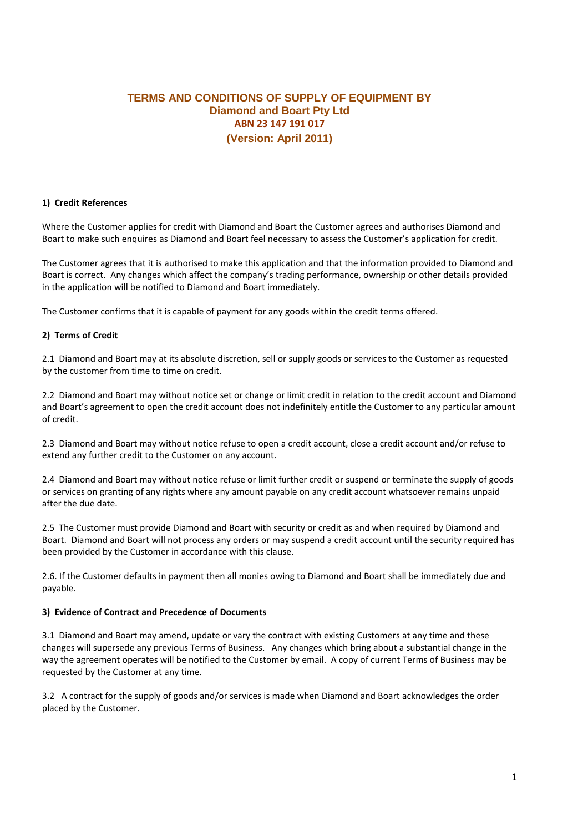# **TERMS AND CONDITIONS OF SUPPLY OF EQUIPMENT BY Diamond and Boart Pty Ltd ABN 23 147 191 017 (Version: April 2011)**

#### **1) Credit References**

Where the Customer applies for credit with Diamond and Boart the Customer agrees and authorises Diamond and Boart to make such enquires as Diamond and Boart feel necessary to assess the Customer's application for credit.

The Customer agrees that it is authorised to make this application and that the information provided to Diamond and Boart is correct. Any changes which affect the company's trading performance, ownership or other details provided in the application will be notified to Diamond and Boart immediately.

The Customer confirms that it is capable of payment for any goods within the credit terms offered.

#### **2) Terms of Credit**

2.1 Diamond and Boart may at its absolute discretion, sell or supply goods or services to the Customer as requested by the customer from time to time on credit.

2.2 Diamond and Boart may without notice set or change or limit credit in relation to the credit account and Diamond and Boart's agreement to open the credit account does not indefinitely entitle the Customer to any particular amount of credit.

2.3 Diamond and Boart may without notice refuse to open a credit account, close a credit account and/or refuse to extend any further credit to the Customer on any account.

2.4 Diamond and Boart may without notice refuse or limit further credit or suspend or terminate the supply of goods or services on granting of any rights where any amount payable on any credit account whatsoever remains unpaid after the due date.

2.5 The Customer must provide Diamond and Boart with security or credit as and when required by Diamond and Boart. Diamond and Boart will not process any orders or may suspend a credit account until the security required has been provided by the Customer in accordance with this clause.

2.6. If the Customer defaults in payment then all monies owing to Diamond and Boart shall be immediately due and payable.

#### **3) Evidence of Contract and Precedence of Documents**

3.1 Diamond and Boart may amend, update or vary the contract with existing Customers at any time and these changes will supersede any previous Terms of Business. Any changes which bring about a substantial change in the way the agreement operates will be notified to the Customer by email. A copy of current Terms of Business may be requested by the Customer at any time.

3.2 A contract for the supply of goods and/or services is made when Diamond and Boart acknowledges the order placed by the Customer.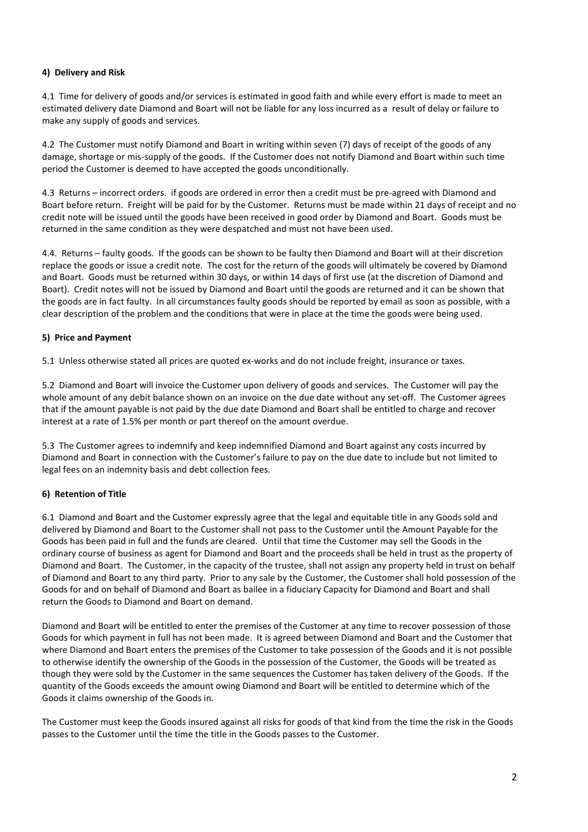# **4) Delivery and Risk**

4.1 Time for delivery of goods and/or services is estimated in good faith and while every effort is made to meet an estimated delivery date Diamond and Boart will not be liable for any loss incurred as a result of delay or failure to make any supply of goods and services.

4.2 The Customer must notify Diamond and Boart in writing within seven (7) days of receipt of the goods of any damage, shortage or mis-supply of the goods. If the Customer does not notify Diamond and Boart within such time period the Customer is deemed to have accepted the goods unconditionally.

4.3 Returns – incorrect orders. if goods are ordered in error then a credit must be pre-agreed with Diamond and Boart before return. Freight will be paid for by the Customer. Returns must be made within 21 days of receipt and no credit note will be issued until the goods have been received in good order by Diamond and Boart. Goods must be returned in the same condition as they were despatched and must not have been used.

4.4. Returns – faulty goods. If the goods can be shown to be faulty then Diamond and Boart will at their discretion replace the goods or issue a credit note. The cost for the return of the goods will ultimately be covered by Diamond and Boart. Goods must be returned within 30 days, or within 14 days of first use (at the discretion of Diamond and Boart). Credit notes will not be issued by Diamond and Boart until the goods are returned and it can be shown that the goods are in fact faulty. In all circumstances faulty goods should be reported by email as soon as possible, with a clear description of the problem and the conditions that were in place at the time the goods were being used.

# **5) Price and Payment**

5.1 Unless otherwise stated all prices are quoted ex-works and do not include freight, insurance or taxes.

5.2 Diamond and Boart will invoice the Customer upon delivery of goods and services. The Customer will pay the whole amount of any debit balance shown on an invoice on the due date without any set-off. The Customer agrees that if the amount payable is not paid by the due date Diamond and Boart shall be entitled to charge and recover interest at a rate of 1.5% per month or part thereof on the amount overdue.

5.3 The Customer agrees to indemnify and keep indemnified Diamond and Boart against any costs incurred by Diamond and Boart in connection with the Customer's failure to pay on the due date to include but not limited to legal fees on an indemnity basis and debt collection fees.

# **6) Retention of Title**

6.1 Diamond and Boart and the Customer expressly agree that the legal and equitable title in any Goods sold and delivered by Diamond and Boart to the Customer shall not pass to the Customer until the Amount Payable for the Goods has been paid in full and the funds are cleared. Until that time the Customer may sell the Goods in the ordinary course of business as agent for Diamond and Boart and the proceeds shall be held in trust as the property of Diamond and Boart. The Customer, in the capacity of the trustee, shall not assign any property held in trust on behalf of Diamond and Boart to any third party. Prior to any sale by the Customer, the Customer shall hold possession of the Goods for and on behalf of Diamond and Boart as bailee in a fiduciary Capacity for Diamond and Boart and shall return the Goods to Diamond and Boart on demand.

Diamond and Boart will be entitled to enter the premises of the Customer at any time to recover possession of those Goods for which payment in full has not been made. It is agreed between Diamond and Boart and the Customer that where Diamond and Boart enters the premises of the Customer to take possession of the Goods and it is not possible to otherwise identify the ownership of the Goods in the possession of the Customer, the Goods will be treated as though they were sold by the Customer in the same sequences the Customer has taken delivery of the Goods. If the quantity of the Goods exceeds the amount owing Diamond and Boart will be entitled to determine which of the Goods it claims ownership of the Goods in.

The Customer must keep the Goods insured against all risks for goods of that kind from the time the risk in the Goods passes to the Customer until the time the title in the Goods passes to the Customer.